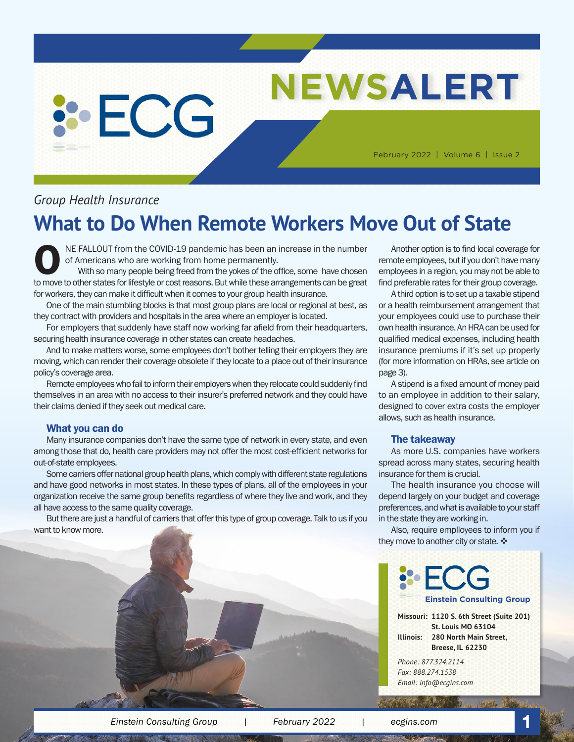# **NEWSALERT**

February 2022 | Volume 6 | Issue 2

# *Group Health Insurance*

**SECG** 

# **What to Do When Remote Workers Move Out of State**

NE FALLOUT from the COVID-19 pandemic has been an increase in the number of Americans who are working from home permanently.

With so many people being freed from the yokes of the office, some have chosen to move to other states for lifestyle or cost reasons. But while these arrangements can be great for workers, they can make it difficult when it comes to your group health insurance.

One of the main stumbling blocks is that most group plans are local or regional at best, as they contract with providers and hospitals in the area where an employer is located.

For employers that suddenly have staff now working far afield from their headquarters, securing health insurance coverage in other states can create headaches.

And to make matters worse, some employees don't bother telling their employers they are moving, which can render their coverage obsolete if they locate to a place out of their insurance policy's coverage area.

Remote employees who fail to inform their employers when they relocate could suddenly find themselves in an area with no access to their insurer's preferred network and they could have their claims denied if they seek out medical care.

#### What you can do

Many insurance companies don't have the same type of network in every state, and even among those that do, health care providers may not offer the most cost-efficient networks for out-of-state employees.

Some carriers offer national group health plans, which comply with different state regulations and have good networks in most states. In these types of plans, all of the employees in your organization receive the same group benefits regardless of where they live and work, and they all have access to the same quality coverage.

But there are just a handful of carriers that offer this type of group coverage. Talk to us if you want to know more.

Another option is to find local coverage for remote employees, but if you don't have many employees in a region, you may not be able to find preferable rates for their group coverage.

A third option is to set up a taxable stipend or a health reimbursement arrangement that your employees could use to purchase their own health insurance. An HRA can be used for qualified medical expenses, including health insurance premiums if it's set up properly (for more information on HRAs, see article on page 3).

A stipend is a fixed amount of money paid to an employee in addition to their salary, designed to cover extra costs the employer allows, such as health insurance.

#### The takeaway

As more U.S. companies have workers spread across many states, securing health insurance for them is crucial.

The health insurance you choose will depend largely on your budget and coverage preferences, and what is available to your staff in the state they are working in.

Also, require emplloyees to inform you if they move to another city or state.  $\clubsuit$ 

**Einstein Consulting Group**

**Missouri: 1120 S. 6th Street (Suite 201) St. Louis MO 63104 Illinois: 280 North Main Street, Breese, IL 62230**

*Phone: 877.324.2114 Fax: 888.274.1538 Email: info@ecgins.com*

*Einstein Consulting Group | February 2022 | ecgins.com* **1**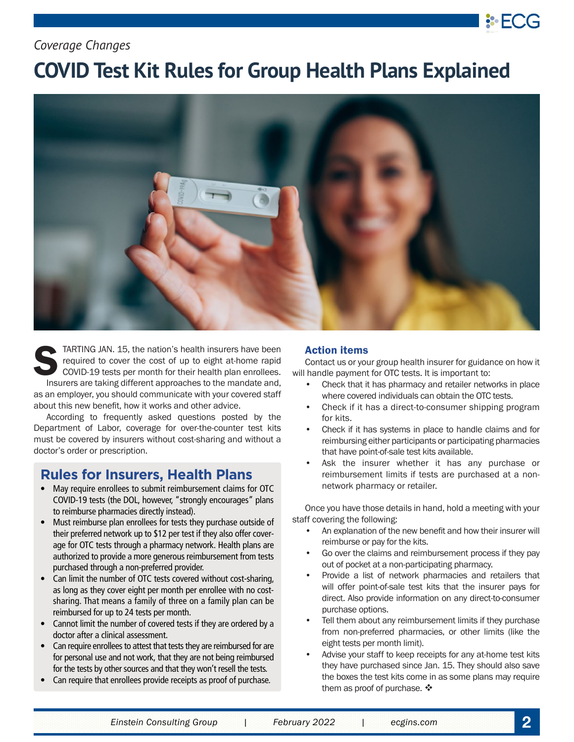# *Coverage Changes*

# **COVID Test Kit Rules for Group Health Plans Explained**



TARTING JAN. 15, the nation's health insurers have been<br>required to cover the cost of up to eight at-home rapid<br>COVID-19 tests per month for their health plan enrollees.<br>Insurers are taking different approaches to the mand required to cover the cost of up to eight at-home rapid COVID-19 tests per month for their health plan enrollees. Insurers are taking different approaches to the mandate and,

as an employer, you should communicate with your covered staff about this new benefit, how it works and other advice.

According to frequently asked questions posted by the Department of Labor, coverage for over-the-counter test kits must be covered by insurers without cost-sharing and without a doctor's order or prescription.

## **Rules for Insurers, Health Plans**

- May require enrollees to submit reimbursement claims for OTC COVID-19 tests (the DOL, however, "strongly encourages" plans to reimburse pharmacies directly instead).
- Must reimburse plan enrollees for tests they purchase outside of their preferred network up to \$12 per test if they also offer coverage for OTC tests through a pharmacy network. Health plans are authorized to provide a more generous reimbursement from tests purchased through a non-preferred provider.
- Can limit the number of OTC tests covered without cost-sharing, as long as they cover eight per month per enrollee with no costsharing. That means a family of three on a family plan can be reimbursed for up to 24 tests per month.
- Cannot limit the number of covered tests if they are ordered by a doctor after a clinical assessment.
- Can require enrollees to attest that tests they are reimbursed for are for personal use and not work, that they are not being reimbursed for the tests by other sources and that they won't resell the tests.
- Can require that enrollees provide receipts as proof of purchase.

### Action items

Contact us or your group health insurer for guidance on how it will handle payment for OTC tests. It is important to:

- Check that it has pharmacy and retailer networks in place where covered individuals can obtain the OTC tests.
- Check if it has a direct-to-consumer shipping program for kits.
- Check if it has systems in place to handle claims and for reimbursing either participants or participating pharmacies that have point-of-sale test kits available.
- Ask the insurer whether it has any purchase or reimbursement limits if tests are purchased at a nonnetwork pharmacy or retailer.

Once you have those details in hand, hold a meeting with your staff covering the following:

- An explanation of the new benefit and how their insurer will reimburse or pay for the kits.
- Go over the claims and reimbursement process if they pay out of pocket at a non-participating pharmacy.
- Provide a list of network pharmacies and retailers that will offer point-of-sale test kits that the insurer pays for direct. Also provide information on any direct-to-consumer purchase options.
- Tell them about any reimbursement limits if they purchase from non-preferred pharmacies, or other limits (like the eight tests per month limit).
- Advise your staff to keep receipts for any at-home test kits they have purchased since Jan. 15. They should also save the boxes the test kits come in as some plans may require them as proof of purchase.  $\clubsuit$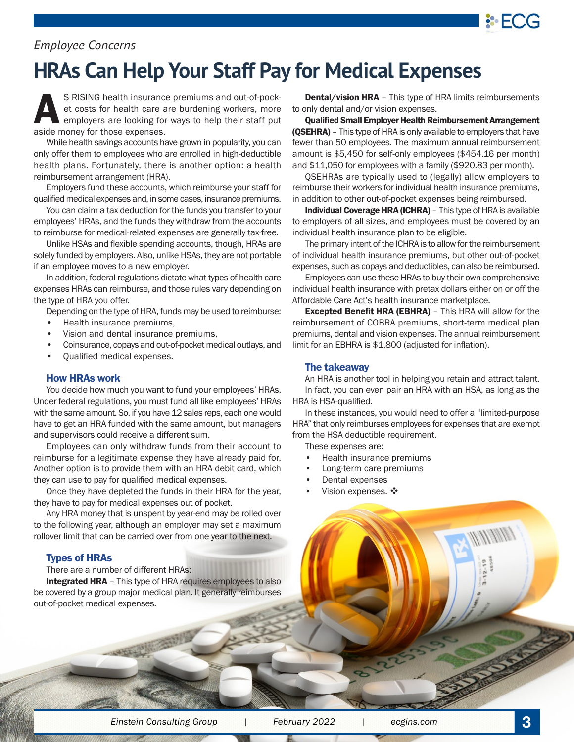

# *Employee Concerns*

# **HRAs Can Help Your Staff Pay for Medical Expenses**

S RISING health insurance premiums and out-of-pocket costs for health care are burdening workers, more employers are looking for ways to help their staff put aside money for those expenses.

While health savings accounts have grown in popularity, you can only offer them to employees who are enrolled in high-deductible health plans. Fortunately, there is another option: a health reimbursement arrangement (HRA).

Employers fund these accounts, which reimburse your staff for qualified medical expenses and, in some cases, insurance premiums.

You can claim a tax deduction for the funds you transfer to your employees' HRAs, and the funds they withdraw from the accounts to reimburse for medical-related expenses are generally tax-free.

Unlike HSAs and flexible spending accounts, though, HRAs are solely funded by employers. Also, unlike HSAs, they are not portable if an employee moves to a new employer.

In addition, federal regulations dictate what types of health care expenses HRAs can reimburse, and those rules vary depending on the type of HRA you offer.

Depending on the type of HRA, funds may be used to reimburse:

- Health insurance premiums,
- Vision and dental insurance premiums,
- Coinsurance, copays and out-of-pocket medical outlays, and
- Qualified medical expenses.

### How HRAs work

You decide how much you want to fund your employees' HRAs. Under federal regulations, you must fund all like employees' HRAs with the same amount. So, if you have 12 sales reps, each one would have to get an HRA funded with the same amount, but managers and supervisors could receive a different sum.

Employees can only withdraw funds from their account to reimburse for a legitimate expense they have already paid for. Another option is to provide them with an HRA debit card, which they can use to pay for qualified medical expenses.

Once they have depleted the funds in their HRA for the year, they have to pay for medical expenses out of pocket.

Any HRA money that is unspent by year-end may be rolled over to the following year, although an employer may set a maximum rollover limit that can be carried over from one year to the next.

### Types of HRAs

There are a number of different HRAs:

Integrated HRA - This type of HRA requires employees to also be covered by a group major medical plan. It generally reimburses out-of-pocket medical expenses.

**SAVE** 

Dental/vision HRA - This type of HRA limits reimbursements to only dental and/or vision expenses.

Qualified Small Employer Health Reimbursement Arrangement (QSEHRA) - This type of HRA is only available to employers that have fewer than 50 employees. The maximum annual reimbursement amount is \$5,450 for self-only employees (\$454.16 per month) and \$11,050 for employees with a family (\$920.83 per month).

QSEHRAs are typically used to (legally) allow employers to reimburse their workers for individual health insurance premiums, in addition to other out-of-pocket expenses being reimbursed.

Individual Coverage HRA (ICHRA) – This type of HRA is available to employers of all sizes, and employees must be covered by an individual health insurance plan to be eligible.

The primary intent of the ICHRA is to allow for the reimbursement of individual health insurance premiums, but other out-of-pocket expenses, such as copays and deductibles, can also be reimbursed.

Employees can use these HRAs to buy their own comprehensive individual health insurance with pretax dollars either on or off the Affordable Care Act's health insurance marketplace.

Excepted Benefit HRA (EBHRA) – This HRA will allow for the reimbursement of COBRA premiums, short-term medical plan premiums, dental and vision expenses. The annual reimbursement limit for an EBHRA is \$1,800 (adjusted for inflation).

### The takeaway

An HRA is another tool in helping you retain and attract talent. In fact, you can even pair an HRA with an HSA, as long as the HRA is HSA-qualified.

In these instances, you would need to offer a "limited-purpose HRA" that only reimburses employees for expenses that are exempt from the HSA deductible requirement.

These expenses are:

- Health insurance premiums
- Long-term care premiums
- Dental expenses
- Vision expenses. ❖

*Einstein Consulting Group | February 2022 | ecgins.com* **3**